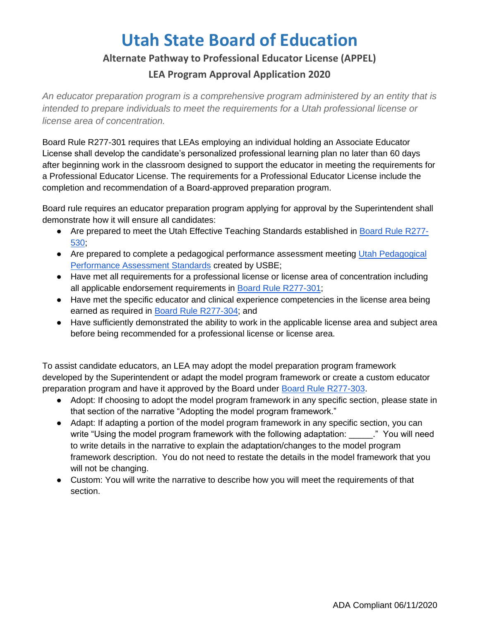# **Utah State Board of Education**

#### **Alternate Pathway to Professional Educator License (APPEL)**

### **LEA Program Approval Application 2020**

*An educator preparation program is a comprehensive program administered by an entity that is intended to prepare individuals to meet the requirements for a Utah professional license or license area of concentration.* 

Board Rule R277-301 requires that LEAs employing an individual holding an Associate Educator License shall develop the candidate's personalized professional learning plan no later than 60 days after beginning work in the classroom designed to support the educator in meeting the requirements for a Professional Educator License. The requirements for a Professional Educator License include the completion and recommendation of a Board-approved preparation program.

Board rule requires an educator preparation program applying for approval by the Superintendent shall demonstrate how it will ensure all candidates:

- Are prepared to meet the Utah Effective Teaching Standards established i[n](https://rules.utah.gov/publicat/code/r277/r277-530.htm) [Board Rule R277-](https://rules.utah.gov/publicat/code/r277/r277-530.htm) [530;](https://rules.utah.gov/publicat/code/r277/r277-530.htm)
- Are prepared to complete a pedagogical performance assessment meeting [Utah Pedagogical](https://drive.google.com/drive/u/1/my-drive) [Performance Assessment Standards](https://drive.google.com/drive/u/1/my-drive) created by USBE;
- Have met all requirements for a professional license or license area of concentration including all applicable endorsement requirements i[n](https://rules.utah.gov/publicat/code/r277/r277-301.htm) [Board Rule R277-301;](https://rules.utah.gov/publicat/code/r277/r277-301.htm)
- Have met the specific educator and clinical experience competencies in the license area being earned as required i[n](https://rules.utah.gov/publicat/code/r277/r277-304.htm) [Board Rule R277-304;](https://rules.utah.gov/publicat/code/r277/r277-304.htm) and
- Have sufficiently demonstrated the ability to work in the applicable license area and subject area before being recommended for a professional license or license area.

To assist candidate educators, an LEA may adopt the model preparation program framework developed by the Superintendent or adapt the model program framework or create a custom educator preparation program and have it approved by the Board unde[r](https://rules.utah.gov/publicat/code/r277/r277-303.htm) [Board Rule R277-303.](https://rules.utah.gov/publicat/code/r277/r277-303.htm)

- Adopt: If choosing to adopt the model program framework in any specific section, please state in that section of the narrative "Adopting the model program framework."
- Adapt: If adapting a portion of the model program framework in any specific section, you can write "Using the model program framework with the following adaptation: " You will need to write details in the narrative to explain the adaptation/changes to the model program framework description. You do not need to restate the details in the model framework that you will not be changing.
- Custom: You will write the narrative to describe how you will meet the requirements of that section.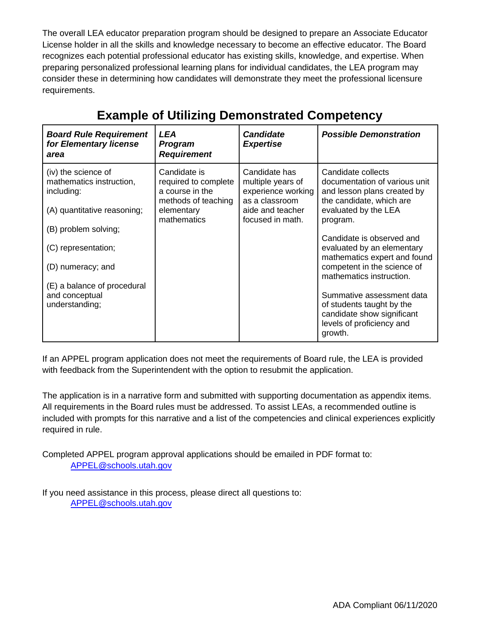The overall LEA educator preparation program should be designed to prepare an Associate Educator License holder in all the skills and knowledge necessary to become an effective educator. The Board recognizes each potential professional educator has existing skills, knowledge, and expertise. When preparing personalized professional learning plans for individual candidates, the LEA program may consider these in determining how candidates will demonstrate they meet the professional licensure requirements.

| <b>Board Rule Requirement</b><br>for Elementary license<br>area                              | LEA<br><b>Program</b><br><b>Requirement</b>                                                                 | <b>Candidate</b><br><b>Expertise</b>                                                                               | <b>Possible Demonstration</b>                                                                                                                      |
|----------------------------------------------------------------------------------------------|-------------------------------------------------------------------------------------------------------------|--------------------------------------------------------------------------------------------------------------------|----------------------------------------------------------------------------------------------------------------------------------------------------|
| (iv) the science of<br>mathematics instruction,<br>including:<br>(A) quantitative reasoning; | Candidate is<br>required to complete<br>a course in the<br>methods of teaching<br>elementary<br>mathematics | Candidate has<br>multiple years of<br>experience working<br>as a classroom<br>aide and teacher<br>focused in math. | Candidate collects<br>documentation of various unit<br>and lesson plans created by<br>the candidate, which are<br>evaluated by the LEA<br>program. |
| (B) problem solving;                                                                         |                                                                                                             |                                                                                                                    |                                                                                                                                                    |
| (C) representation;                                                                          |                                                                                                             |                                                                                                                    | Candidate is observed and<br>evaluated by an elementary<br>mathematics expert and found                                                            |
| (D) numeracy; and                                                                            |                                                                                                             |                                                                                                                    | competent in the science of<br>mathematics instruction.                                                                                            |
| (E) a balance of procedural<br>and conceptual<br>understanding;                              |                                                                                                             |                                                                                                                    | Summative assessment data<br>of students taught by the<br>candidate show significant<br>levels of proficiency and<br>growth.                       |

## **Example of Utilizing Demonstrated Competency**

If an APPEL program application does not meet the requirements of Board rule, the LEA is provided with feedback from the Superintendent with the option to resubmit the application.

The application is in a narrative form and submitted with supporting documentation as appendix items. All requirements in the Board rules must be addressed. To assist LEAs, a recommended outline is included with prompts for this narrative and a list of the competencies and clinical experiences explicitly required in rule.

Completed APPEL program approval applications should be emailed in PDF format to: [APPEL@schools.utah.gov](mailto:APPEL@schools.utah.gov)

If you need assistance in this process, please direct all questions to: [APPEL@schools.utah.gov](mailto:APPEL@schools.utah.gov)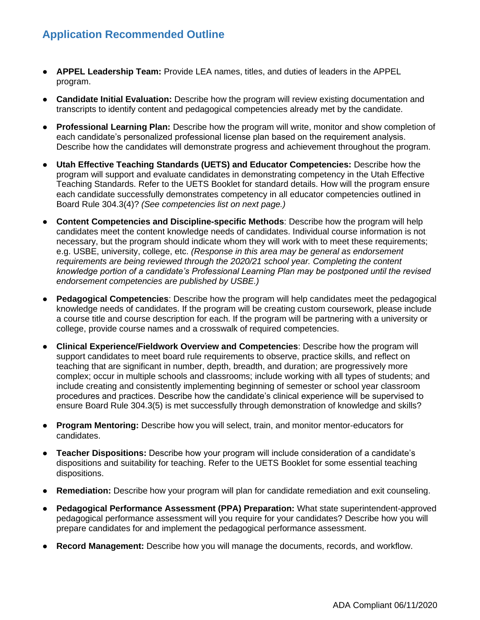## **Application Recommended Outline**

- **APPEL Leadership Team:** Provide LEA names, titles, and duties of leaders in the APPEL program.
- **Candidate Initial Evaluation:** Describe how the program will review existing documentation and transcripts to identify content and pedagogical competencies already met by the candidate.
- **Professional Learning Plan:** Describe how the program will write, monitor and show completion of each candidate's personalized professional license plan based on the requirement analysis. Describe how the candidates will demonstrate progress and achievement throughout the program.
- **Utah Effective Teaching Standards (UETS) and Educator Competencies: Describe how the** program will support and evaluate candidates in demonstrating competency in the Utah Effective Teaching Standards. Refer to the UETS Booklet for standard details. How will the program ensure each candidate successfully demonstrates competency in all educator competencies outlined in Board Rule 304.3(4)? *(See competencies list on next page.)*
- **Content Competencies and Discipline-specific Methods:** Describe how the program will help candidates meet the content knowledge needs of candidates. Individual course information is not necessary, but the program should indicate whom they will work with to meet these requirements; e.g. USBE, university, college, etc. *(Response in this area may be general as endorsement requirements are being reviewed through the 2020/21 school year. Completing the content knowledge portion of a candidate's Professional Learning Plan may be postponed until the revised endorsement competencies are published by USBE.)*
- **Pedagogical Competencies**: Describe how the program will help candidates meet the pedagogical knowledge needs of candidates. If the program will be creating custom coursework, please include a course title and course description for each. If the program will be partnering with a university or college, provide course names and a crosswalk of required competencies.
- **Clinical Experience/Fieldwork Overview and Competencies**: Describe how the program will support candidates to meet board rule requirements to observe, practice skills, and reflect on teaching that are significant in number, depth, breadth, and duration; are progressively more complex; occur in multiple schools and classrooms; include working with all types of students; and include creating and consistently implementing beginning of semester or school year classroom procedures and practices. Describe how the candidate's clinical experience will be supervised to ensure Board Rule 304.3(5) is met successfully through demonstration of knowledge and skills?
- **Program Mentoring:** Describe how you will select, train, and monitor mentor-educators for candidates.
- **Teacher Dispositions:** Describe how your program will include consideration of a candidate's dispositions and suitability for teaching. Refer to the UETS Booklet for some essential teaching dispositions.
- **Remediation:** Describe how your program will plan for candidate remediation and exit counseling.
- **Pedagogical Performance Assessment (PPA) Preparation:** What state superintendent-approved pedagogical performance assessment will you require for your candidates? Describe how you will prepare candidates for and implement the pedagogical performance assessment.
- **Record Management:** Describe how you will manage the documents, records, and workflow.